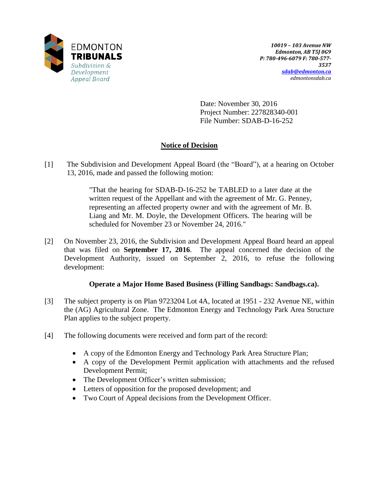

Date: November 30, 2016 Project Number: 227828340-001 File Number: SDAB-D-16-252

# **Notice of Decision**

[1] The Subdivision and Development Appeal Board (the "Board"), at a hearing on October 13, 2016, made and passed the following motion:

> "That the hearing for SDAB-D-16-252 be TABLED to a later date at the written request of the Appellant and with the agreement of Mr. G. Penney, representing an affected property owner and with the agreement of Mr. B. Liang and Mr. M. Doyle, the Development Officers. The hearing will be scheduled for November 23 or November 24, 2016."

[2] On November 23, 2016, the Subdivision and Development Appeal Board heard an appeal that was filed on **September 17, 2016**. The appeal concerned the decision of the Development Authority, issued on September 2, 2016, to refuse the following development:

# **Operate a Major Home Based Business (Filling Sandbags: Sandbags.ca).**

- [3] The subject property is on Plan 9723204 Lot 4A, located at 1951 232 Avenue NE, within the (AG) Agricultural Zone. The Edmonton Energy and Technology Park Area Structure Plan applies to the subject property.
- [4] The following documents were received and form part of the record:
	- A copy of the Edmonton Energy and Technology Park Area Structure Plan;
	- A copy of the Development Permit application with attachments and the refused Development Permit;
	- The Development Officer's written submission;
	- Letters of opposition for the proposed development; and
	- Two Court of Appeal decisions from the Development Officer.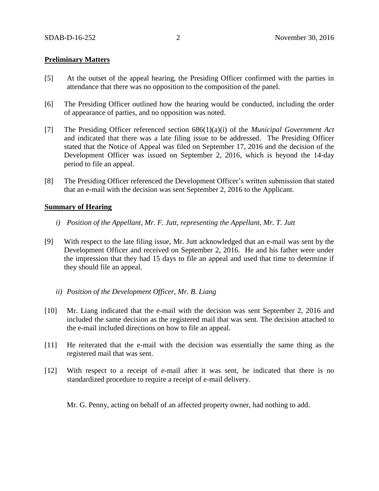#### **Preliminary Matters**

- [5] At the outset of the appeal hearing, the Presiding Officer confirmed with the parties in attendance that there was no opposition to the composition of the panel.
- [6] The Presiding Officer outlined how the hearing would be conducted, including the order of appearance of parties, and no opposition was noted.
- [7] The Presiding Officer referenced section 686(1)(a)(i) of the *Municipal Government Act* and indicated that there was a late filing issue to be addressed. The Presiding Officer stated that the Notice of Appeal was filed on September 17, 2016 and the decision of the Development Officer was issued on September 2, 2016, which is beyond the 14-day period to file an appeal.
- [8] The Presiding Officer referenced the Development Officer's written submission that stated that an e-mail with the decision was sent September 2, 2016 to the Applicant.

#### **Summary of Hearing**

- *i) Position of the Appellant, Mr. F. Jutt, representing the Appellant, Mr. T. Jutt*
- [9] With respect to the late filing issue, Mr. Jutt acknowledged that an e-mail was sent by the Development Officer and received on September 2, 2016. He and his father were under the impression that they had 15 days to file an appeal and used that time to determine if they should file an appeal.
	- *ii) Position of the Development Officer, Mr. B. Liang*
- [10] Mr. Liang indicated that the e-mail with the decision was sent September 2, 2016 and included the same decision as the registered mail that was sent. The decision attached to the e-mail included directions on how to file an appeal.
- [11] He reiterated that the e-mail with the decision was essentially the same thing as the registered mail that was sent.
- [12] With respect to a receipt of e-mail after it was sent, he indicated that there is no standardized procedure to require a receipt of e-mail delivery.

Mr. G. Penny, acting on behalf of an affected property owner, had nothing to add.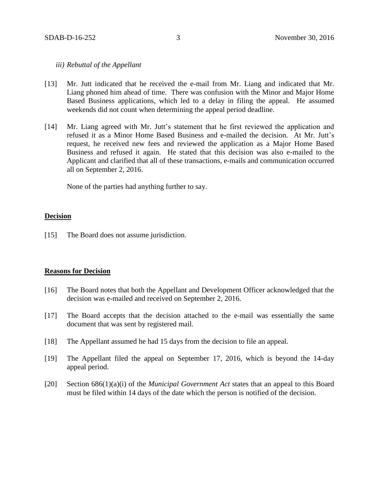### *iii) Rebuttal of the Appellant*

- [13] Mr. Jutt indicated that he received the e-mail from Mr. Liang and indicated that Mr. Liang phoned him ahead of time. There was confusion with the Minor and Major Home Based Business applications, which led to a delay in filing the appeal. He assumed weekends did not count when determining the appeal period deadline.
- [14] Mr. Liang agreed with Mr. Jutt's statement that he first reviewed the application and refused it as a Minor Home Based Business and e-mailed the decision. At Mr. Jutt's request, he received new fees and reviewed the application as a Major Home Based Business and refused it again. He stated that this decision was also e-mailed to the Applicant and clarified that all of these transactions, e-mails and communication occurred all on September 2, 2016.

None of the parties had anything further to say.

### **Decision**

[15] The Board does not assume jurisdiction.

#### **Reasons for Decision**

- [16] The Board notes that both the Appellant and Development Officer acknowledged that the decision was e-mailed and received on September 2, 2016.
- [17] The Board accepts that the decision attached to the e-mail was essentially the same document that was sent by registered mail.
- [18] The Appellant assumed he had 15 days from the decision to file an appeal.
- [19] The Appellant filed the appeal on September 17, 2016, which is beyond the 14-day appeal period.
- [20] Section 686(1)(a)(i) of the *Municipal Government Act* states that an appeal to this Board must be filed within 14 days of the date which the person is notified of the decision.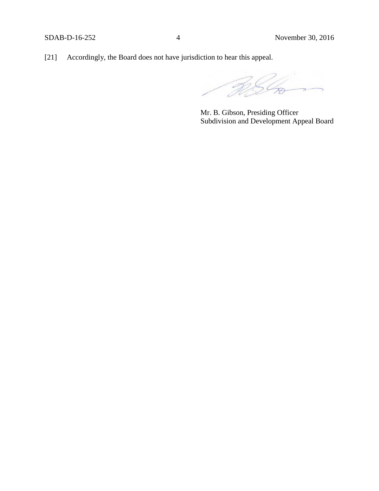[21] Accordingly, the Board does not have jurisdiction to hear this appeal.

 $\overline{\mathcal{C}}$ 

Mr. B. Gibson, Presiding Officer Subdivision and Development Appeal Board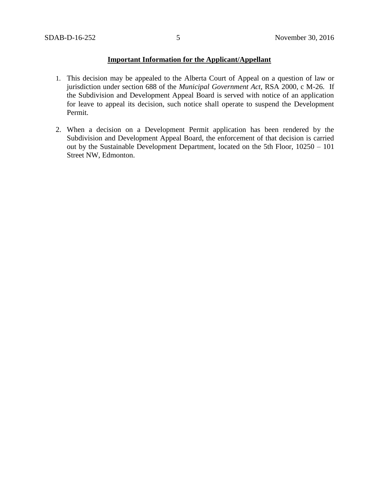### **Important Information for the Applicant/Appellant**

- 1. This decision may be appealed to the Alberta Court of Appeal on a question of law or jurisdiction under section 688 of the *Municipal Government Act*, RSA 2000, c M-26. If the Subdivision and Development Appeal Board is served with notice of an application for leave to appeal its decision, such notice shall operate to suspend the Development Permit.
- 2. When a decision on a Development Permit application has been rendered by the Subdivision and Development Appeal Board, the enforcement of that decision is carried out by the Sustainable Development Department, located on the 5th Floor, 10250 – 101 Street NW, Edmonton.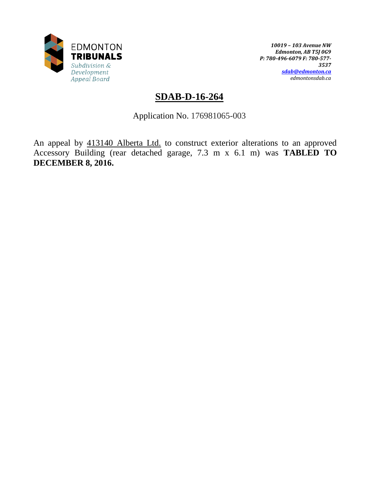

*10019 – 103 Avenue NW Edmonton, AB T5J 0G9 P: 780-496-6079 F: 780-577- 3537 [sdab@edmonton.ca](mailto:sdab@edmonton.ca) edmontonsdab.ca*

# **SDAB-D-16-264**

Application No. 176981065-003

An appeal by 413140 Alberta Ltd. to construct exterior alterations to an approved Accessory Building (rear detached garage, 7.3 m x 6.1 m) was **TABLED TO DECEMBER 8, 2016.**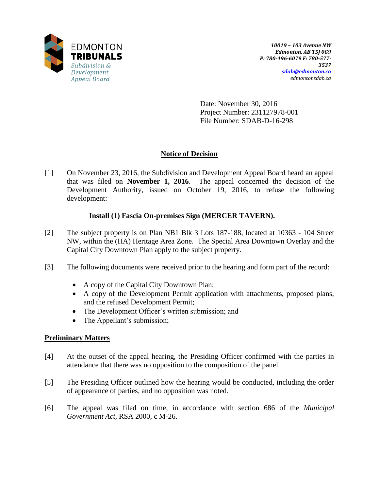

Date: November 30, 2016 Project Number: 231127978-001 File Number: SDAB-D-16-298

# **Notice of Decision**

[1] On November 23, 2016, the Subdivision and Development Appeal Board heard an appeal that was filed on **November 1, 2016**. The appeal concerned the decision of the Development Authority, issued on October 19, 2016, to refuse the following development:

# **Install (1) Fascia On-premises Sign (MERCER TAVERN).**

- [2] The subject property is on Plan NB1 Blk 3 Lots 187-188, located at 10363 104 Street NW, within the (HA) Heritage Area Zone. The Special Area Downtown Overlay and the Capital City Downtown Plan apply to the subject property.
- [3] The following documents were received prior to the hearing and form part of the record:
	- A copy of the Capital City Downtown Plan;
	- A copy of the Development Permit application with attachments, proposed plans, and the refused Development Permit;
	- The Development Officer's written submission; and
	- The Appellant's submission;

# **Preliminary Matters**

- [4] At the outset of the appeal hearing, the Presiding Officer confirmed with the parties in attendance that there was no opposition to the composition of the panel.
- [5] The Presiding Officer outlined how the hearing would be conducted, including the order of appearance of parties, and no opposition was noted.
- [6] The appeal was filed on time, in accordance with section 686 of the *Municipal Government Act,* RSA 2000, c M-26.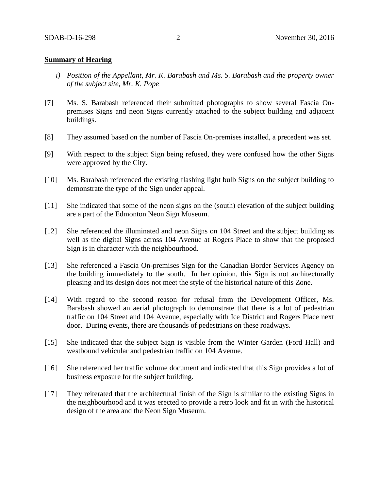#### **Summary of Hearing**

- *i) Position of the Appellant, Mr. K. Barabash and Ms. S. Barabash and the property owner of the subject site, Mr. K. Pope*
- [7] Ms. S. Barabash referenced their submitted photographs to show several Fascia Onpremises Signs and neon Signs currently attached to the subject building and adjacent buildings.
- [8] They assumed based on the number of Fascia On-premises installed, a precedent was set.
- [9] With respect to the subject Sign being refused, they were confused how the other Signs were approved by the City.
- [10] Ms. Barabash referenced the existing flashing light bulb Signs on the subject building to demonstrate the type of the Sign under appeal.
- [11] She indicated that some of the neon signs on the (south) elevation of the subject building are a part of the Edmonton Neon Sign Museum.
- [12] She referenced the illuminated and neon Signs on 104 Street and the subject building as well as the digital Signs across 104 Avenue at Rogers Place to show that the proposed Sign is in character with the neighbourhood.
- [13] She referenced a Fascia On-premises Sign for the Canadian Border Services Agency on the building immediately to the south. In her opinion, this Sign is not architecturally pleasing and its design does not meet the style of the historical nature of this Zone.
- [14] With regard to the second reason for refusal from the Development Officer, Ms. Barabash showed an aerial photograph to demonstrate that there is a lot of pedestrian traffic on 104 Street and 104 Avenue, especially with Ice District and Rogers Place next door. During events, there are thousands of pedestrians on these roadways.
- [15] She indicated that the subject Sign is visible from the Winter Garden (Ford Hall) and westbound vehicular and pedestrian traffic on 104 Avenue.
- [16] She referenced her traffic volume document and indicated that this Sign provides a lot of business exposure for the subject building.
- [17] They reiterated that the architectural finish of the Sign is similar to the existing Signs in the neighbourhood and it was erected to provide a retro look and fit in with the historical design of the area and the Neon Sign Museum.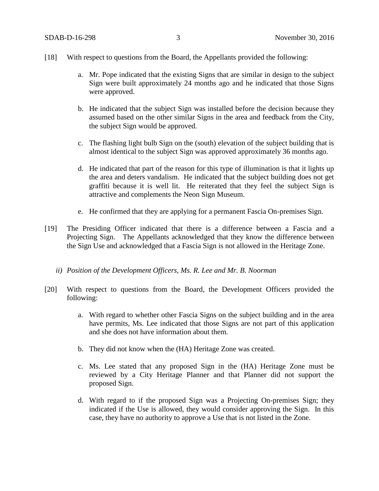- [18] With respect to questions from the Board, the Appellants provided the following:
	- a. Mr. Pope indicated that the existing Signs that are similar in design to the subject Sign were built approximately 24 months ago and he indicated that those Signs were approved.
	- b. He indicated that the subject Sign was installed before the decision because they assumed based on the other similar Signs in the area and feedback from the City, the subject Sign would be approved.
	- c. The flashing light bulb Sign on the (south) elevation of the subject building that is almost identical to the subject Sign was approved approximately 36 months ago.
	- d. He indicated that part of the reason for this type of illumination is that it lights up the area and deters vandalism. He indicated that the subject building does not get graffiti because it is well lit. He reiterated that they feel the subject Sign is attractive and complements the Neon Sign Museum.
	- e. He confirmed that they are applying for a permanent Fascia On-premises Sign.
- [19] The Presiding Officer indicated that there is a difference between a Fascia and a Projecting Sign. The Appellants acknowledged that they know the difference between the Sign Use and acknowledged that a Fascia Sign is not allowed in the Heritage Zone.
	- *ii) Position of the Development Officers, Ms. R. Lee and Mr. B. Noorman*
- [20] With respect to questions from the Board, the Development Officers provided the following:
	- a. With regard to whether other Fascia Signs on the subject building and in the area have permits, Ms. Lee indicated that those Signs are not part of this application and she does not have information about them.
	- b. They did not know when the (HA) Heritage Zone was created.
	- c. Ms. Lee stated that any proposed Sign in the (HA) Heritage Zone must be reviewed by a City Heritage Planner and that Planner did not support the proposed Sign.
	- d. With regard to if the proposed Sign was a Projecting On-premises Sign; they indicated if the Use is allowed, they would consider approving the Sign. In this case, they have no authority to approve a Use that is not listed in the Zone.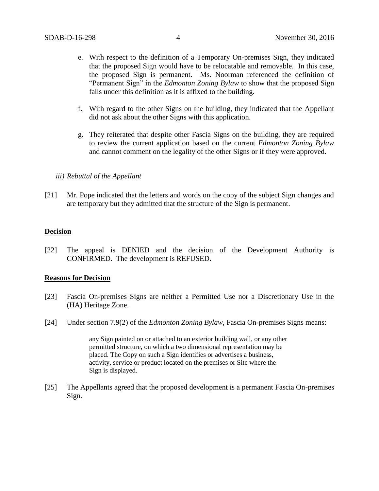- e. With respect to the definition of a Temporary On-premises Sign, they indicated that the proposed Sign would have to be relocatable and removable. In this case, the proposed Sign is permanent. Ms. Noorman referenced the definition of "Permanent Sign" in the *Edmonton Zoning Bylaw* to show that the proposed Sign falls under this definition as it is affixed to the building.
- f. With regard to the other Signs on the building, they indicated that the Appellant did not ask about the other Signs with this application.
- g. They reiterated that despite other Fascia Signs on the building, they are required to review the current application based on the current *Edmonton Zoning Bylaw* and cannot comment on the legality of the other Signs or if they were approved.

### *iii) Rebuttal of the Appellant*

[21] Mr. Pope indicated that the letters and words on the copy of the subject Sign changes and are temporary but they admitted that the structure of the Sign is permanent.

### **Decision**

[22] The appeal is DENIED and the decision of the Development Authority is CONFIRMED. The development is REFUSED**.**

### **Reasons for Decision**

- [23] Fascia On-premises Signs are neither a Permitted Use nor a Discretionary Use in the (HA) Heritage Zone.
- [24] Under section 7.9(2) of the *Edmonton Zoning Bylaw*, Fascia On-premises Signs means:

any Sign painted on or attached to an exterior building wall, or any other permitted structure, on which a two dimensional representation may be placed. The Copy on such a Sign identifies or advertises a business, activity, service or product located on the premises or Site where the Sign is displayed.

[25] The Appellants agreed that the proposed development is a permanent Fascia On-premises Sign.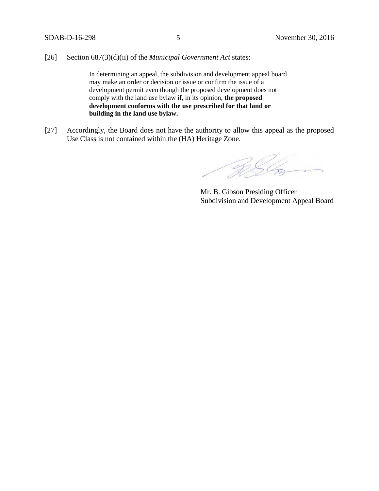[26] Section 687(3)(d)(ii) of the *Municipal Government Act* states:

In determining an appeal, the subdivision and development appeal board may make an order or decision or issue or confirm the issue of a development permit even though the proposed development does not comply with the land use bylaw if, in its opinion, **the proposed development conforms with the use prescribed for that land or building in the land use bylaw.**

[27] Accordingly, the Board does not have the authority to allow this appeal as the proposed Use Class is not contained within the (HA) Heritage Zone.

BSG

Mr. B. Gibson Presiding Officer Subdivision and Development Appeal Board